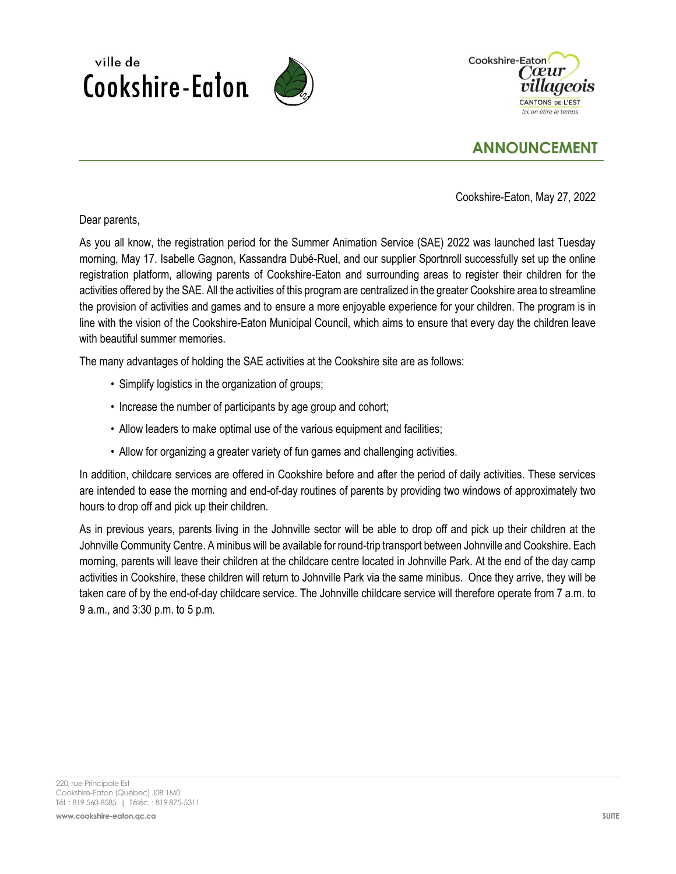



## **ANNOUNCEMENT**

Cookshire-Eaton, May 27, 2022

Dear parents,

ville de

Cookshire-Eaton

As you all know, the registration period for the Summer Animation Service (SAE) 2022 was launched last Tuesday morning, May 17. Isabelle Gagnon, Kassandra Dubé-Ruel, and our supplier Sportnroll successfully set up the online registration platform, allowing parents of Cookshire-Eaton and surrounding areas to register their children for the activities offered by the SAE. All the activities of this program are centralized in the greater Cookshire area to streamline the provision of activities and games and to ensure a more enjoyable experience for your children. The program is in line with the vision of the Cookshire-Eaton Municipal Council, which aims to ensure that every day the children leave with beautiful summer memories.

The many advantages of holding the SAE activities at the Cookshire site are as follows:

- Simplify logistics in the organization of groups;
- Increase the number of participants by age group and cohort;
- Allow leaders to make optimal use of the various equipment and facilities;
- Allow for organizing a greater variety of fun games and challenging activities.

In addition, childcare services are offered in Cookshire before and after the period of daily activities. These services are intended to ease the morning and end-of-day routines of parents by providing two windows of approximately two hours to drop off and pick up their children.

As in previous years, parents living in the Johnville sector will be able to drop off and pick up their children at the Johnville Community Centre. A minibus will be available for round-trip transport between Johnville and Cookshire. Each morning, parents will leave their children at the childcare centre located in Johnville Park. At the end of the day camp activities in Cookshire, these children will return to Johnville Park via the same minibus. Once they arrive, they will be taken care of by the end-of-day childcare service. The Johnville childcare service will therefore operate from 7 a.m. to 9 a.m., and 3:30 p.m. to 5 p.m.